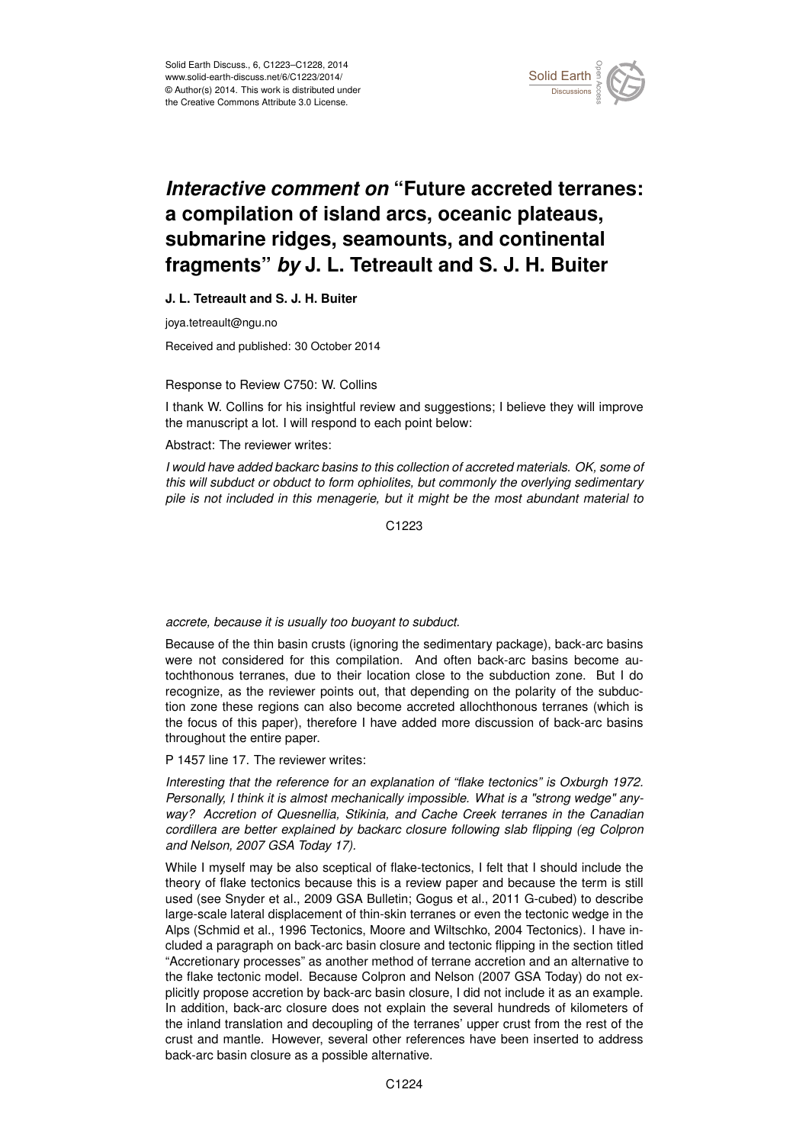

# *Interactive comment on* **"Future accreted terranes: a compilation of island arcs, oceanic plateaus, submarine ridges, seamounts, and continental fragments"** *by* **J. L. Tetreault and S. J. H. Buiter**

## **J. L. Tetreault and S. J. H. Buiter**

joya.tetreault@ngu.no

Received and published: 30 October 2014

#### Response to Review C750: W. Collins

I thank W. Collins for his insightful review and suggestions; I believe they will improve the manuscript a lot. I will respond to each point below:

#### Abstract: The reviewer writes:

*I would have added backarc basins to this collection of accreted materials. OK, some of this will subduct or obduct to form ophiolites, but commonly the overlying sedimentary pile is not included in this menagerie, but it might be the most abundant material to*

C<sub>1223</sub>

# *accrete, because it is usually too buoyant to subduct.*

Because of the thin basin crusts (ignoring the sedimentary package), back-arc basins were not considered for this compilation. And often back-arc basins become autochthonous terranes, due to their location close to the subduction zone. But I do recognize, as the reviewer points out, that depending on the polarity of the subduction zone these regions can also become accreted allochthonous terranes (which is the focus of this paper), therefore I have added more discussion of back-arc basins throughout the entire paper.

# P 1457 line 17. The reviewer writes:

*Interesting that the reference for an explanation of "flake tectonics" is Oxburgh 1972. Personally, I think it is almost mechanically impossible. What is a "strong wedge" anyway? Accretion of Quesnellia, Stikinia, and Cache Creek terranes in the Canadian cordillera are better explained by backarc closure following slab flipping (eg Colpron and Nelson, 2007 GSA Today 17).*

While I myself may be also sceptical of flake-tectonics, I felt that I should include the theory of flake tectonics because this is a review paper and because the term is still used (see Snyder et al., 2009 GSA Bulletin; Gogus et al., 2011 G-cubed) to describe large-scale lateral displacement of thin-skin terranes or even the tectonic wedge in the Alps (Schmid et al., 1996 Tectonics, Moore and Wiltschko, 2004 Tectonics). I have included a paragraph on back-arc basin closure and tectonic flipping in the section titled "Accretionary processes" as another method of terrane accretion and an alternative to the flake tectonic model. Because Colpron and Nelson (2007 GSA Today) do not explicitly propose accretion by back-arc basin closure, I did not include it as an example. In addition, back-arc closure does not explain the several hundreds of kilometers of the inland translation and decoupling of the terranes' upper crust from the rest of the crust and mantle. However, several other references have been inserted to address back-arc basin closure as a possible alternative.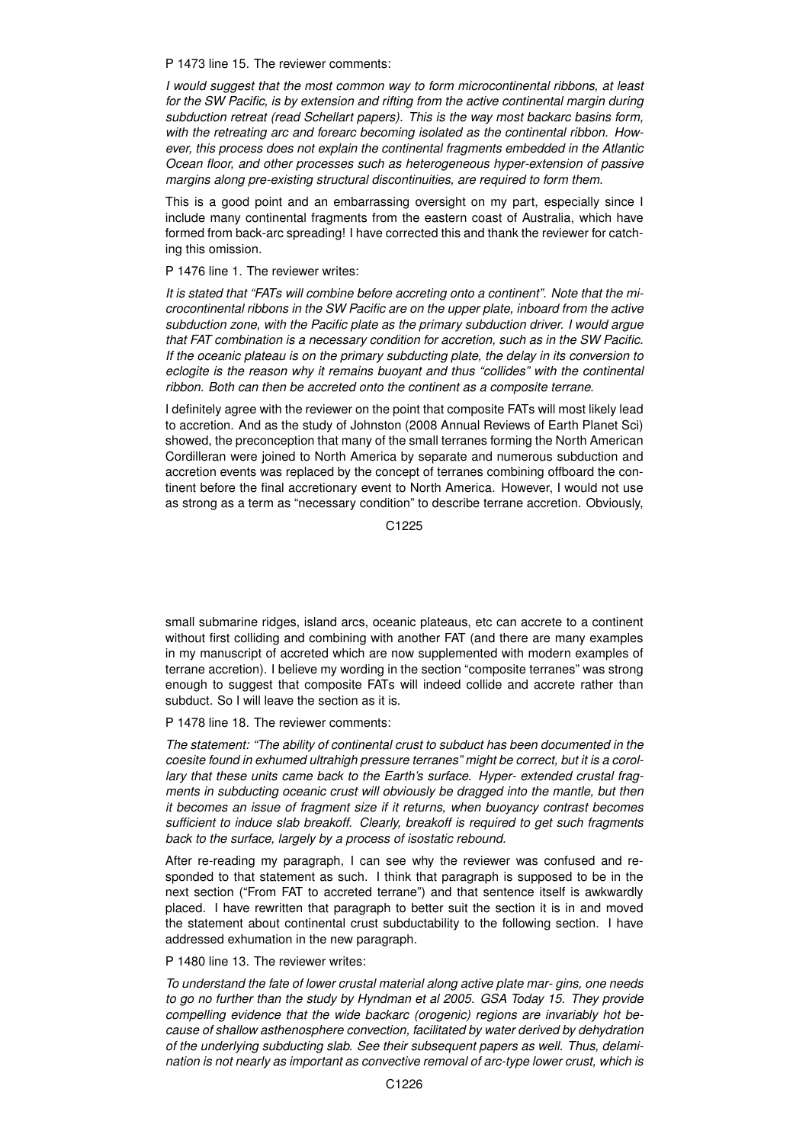P 1473 line 15. The reviewer comments:

*I would suggest that the most common way to form microcontinental ribbons, at least for the SW Pacific, is by extension and rifting from the active continental margin during subduction retreat (read Schellart papers). This is the way most backarc basins form, with the retreating arc and forearc becoming isolated as the continental ribbon. However, this process does not explain the continental fragments embedded in the Atlantic Ocean floor, and other processes such as heterogeneous hyper-extension of passive margins along pre-existing structural discontinuities, are required to form them.*

This is a good point and an embarrassing oversight on my part, especially since I include many continental fragments from the eastern coast of Australia, which have formed from back-arc spreading! I have corrected this and thank the reviewer for catching this omission.

P 1476 line 1. The reviewer writes:

*It is stated that "FATs will combine before accreting onto a continent". Note that the microcontinental ribbons in the SW Pacific are on the upper plate, inboard from the active subduction zone, with the Pacific plate as the primary subduction driver. I would argue that FAT combination is a necessary condition for accretion, such as in the SW Pacific. If the oceanic plateau is on the primary subducting plate, the delay in its conversion to eclogite is the reason why it remains buoyant and thus "collides" with the continental ribbon. Both can then be accreted onto the continent as a composite terrane.*

I definitely agree with the reviewer on the point that composite FATs will most likely lead to accretion. And as the study of Johnston (2008 Annual Reviews of Earth Planet Sci) showed, the preconception that many of the small terranes forming the North American Cordilleran were joined to North America by separate and numerous subduction and accretion events was replaced by the concept of terranes combining offboard the continent before the final accretionary event to North America. However, I would not use as strong as a term as "necessary condition" to describe terrane accretion. Obviously,

C1225

small submarine ridges, island arcs, oceanic plateaus, etc can accrete to a continent without first colliding and combining with another FAT (and there are many examples in my manuscript of accreted which are now supplemented with modern examples of terrane accretion). I believe my wording in the section "composite terranes" was strong enough to suggest that composite FATs will indeed collide and accrete rather than subduct. So I will leave the section as it is.

P 1478 line 18. The reviewer comments:

*The statement: "The ability of continental crust to subduct has been documented in the coesite found in exhumed ultrahigh pressure terranes" might be correct, but it is a corollary that these units came back to the Earth's surface. Hyper- extended crustal fragments in subducting oceanic crust will obviously be dragged into the mantle, but then it becomes an issue of fragment size if it returns, when buoyancy contrast becomes sufficient to induce slab breakoff. Clearly, breakoff is required to get such fragments back to the surface, largely by a process of isostatic rebound.*

After re-reading my paragraph, I can see why the reviewer was confused and responded to that statement as such. I think that paragraph is supposed to be in the next section ("From FAT to accreted terrane") and that sentence itself is awkwardly placed. I have rewritten that paragraph to better suit the section it is in and moved the statement about continental crust subductability to the following section. I have addressed exhumation in the new paragraph.

## P 1480 line 13. The reviewer writes:

*To understand the fate of lower crustal material along active plate mar- gins, one needs to go no further than the study by Hyndman et al 2005. GSA Today 15. They provide compelling evidence that the wide backarc (orogenic) regions are invariably hot because of shallow asthenosphere convection, facilitated by water derived by dehydration of the underlying subducting slab. See their subsequent papers as well. Thus, delamination is not nearly as important as convective removal of arc-type lower crust, which is*